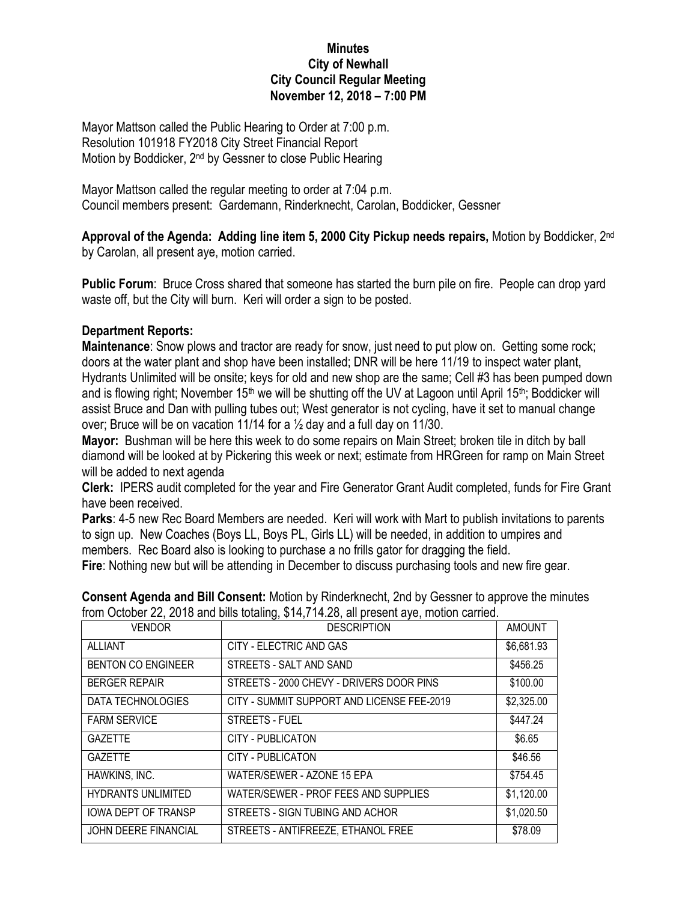## **Minutes City of Newhall City Council Regular Meeting November 12, 2018 – 7:00 PM**

Mayor Mattson called the Public Hearing to Order at 7:00 p.m. Resolution 101918 FY2018 City Street Financial Report Motion by Boddicker, 2<sup>nd</sup> by Gessner to close Public Hearing

Mayor Mattson called the regular meeting to order at 7:04 p.m. Council members present: Gardemann, Rinderknecht, Carolan, Boddicker, Gessner

**Approval of the Agenda: Adding line item 5, 2000 City Pickup needs repairs,** Motion by Boddicker, 2nd by Carolan, all present aye, motion carried.

**Public Forum**: Bruce Cross shared that someone has started the burn pile on fire. People can drop yard waste off, but the City will burn. Keri will order a sign to be posted.

## **Department Reports:**

**Maintenance**: Snow plows and tractor are ready for snow, just need to put plow on. Getting some rock; doors at the water plant and shop have been installed; DNR will be here 11/19 to inspect water plant, Hydrants Unlimited will be onsite; keys for old and new shop are the same; Cell #3 has been pumped down and is flowing right; November 15<sup>th</sup> we will be shutting off the UV at Lagoon until April 15<sup>th</sup>; Boddicker will assist Bruce and Dan with pulling tubes out; West generator is not cycling, have it set to manual change over; Bruce will be on vacation 11/14 for a ½ day and a full day on 11/30.

**Mayor:** Bushman will be here this week to do some repairs on Main Street; broken tile in ditch by ball diamond will be looked at by Pickering this week or next; estimate from HRGreen for ramp on Main Street will be added to next agenda

**Clerk:** IPERS audit completed for the year and Fire Generator Grant Audit completed, funds for Fire Grant have been received.

**Parks**: 4-5 new Rec Board Members are needed. Keri will work with Mart to publish invitations to parents to sign up. New Coaches (Boys LL, Boys PL, Girls LL) will be needed, in addition to umpires and members. Rec Board also is looking to purchase a no frills gator for dragging the field.

**Fire**: Nothing new but will be attending in December to discuss purchasing tools and new fire gear.

| <b>VENDOR</b>               | <b>DESCRIPTION</b>                         | <b>AMOUNT</b> |
|-----------------------------|--------------------------------------------|---------------|
| <b>ALLIANT</b>              | CITY - ELECTRIC AND GAS                    | \$6,681.93    |
| <b>BENTON CO ENGINEER</b>   | STREETS - SALT AND SAND                    | \$456.25      |
| <b>BERGER REPAIR</b>        | STREETS - 2000 CHEVY - DRIVERS DOOR PINS   | \$100.00      |
| DATA TECHNOLOGIES           | CITY - SUMMIT SUPPORT AND LICENSE FEE-2019 | \$2,325.00    |
| <b>FARM SERVICE</b>         | STREETS - FUEL                             | \$447.24      |
| <b>GAZETTE</b>              | <b>CITY - PUBLICATON</b>                   | \$6.65        |
| <b>GAZETTE</b>              | <b>CITY - PUBLICATON</b>                   | \$46.56       |
| HAWKINS, INC.               | WATER/SEWER - AZONE 15 EPA                 | \$754.45      |
| <b>HYDRANTS UNLIMITED</b>   | WATER/SEWER - PROF FEES AND SUPPLIES       | \$1,120.00    |
| <b>IOWA DEPT OF TRANSP</b>  | STREETS - SIGN TUBING AND ACHOR            | \$1,020.50    |
| <b>JOHN DEERE FINANCIAL</b> | STREETS - ANTIFREEZE, ETHANOL FREE         | \$78.09       |

**Consent Agenda and Bill Consent:** Motion by Rinderknecht, 2nd by Gessner to approve the minutes from October 22, 2018 and bills totaling, \$14,714.28, all present aye, motion carried.